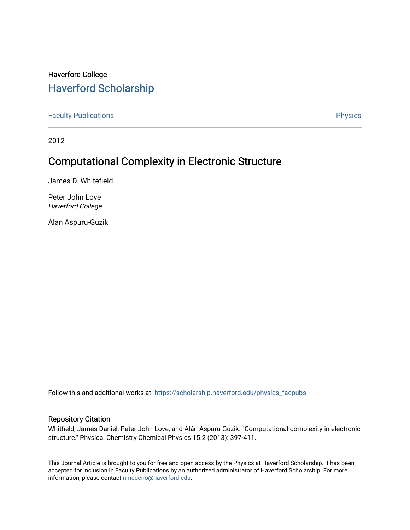# Haverford College [Haverford Scholarship](https://scholarship.haverford.edu/)

[Faculty Publications](https://scholarship.haverford.edu/physics_facpubs) **Physics** 

2012

# Computational Complexity in Electronic Structure

James D. Whitefield

Peter John Love Haverford College

Alan Aspuru-Guzik

Follow this and additional works at: [https://scholarship.haverford.edu/physics\\_facpubs](https://scholarship.haverford.edu/physics_facpubs?utm_source=scholarship.haverford.edu%2Fphysics_facpubs%2F273&utm_medium=PDF&utm_campaign=PDFCoverPages) 

# Repository Citation

Whitfield, James Daniel, Peter John Love, and Alán Aspuru-Guzik. "Computational complexity in electronic structure." Physical Chemistry Chemical Physics 15.2 (2013): 397-411.

This Journal Article is brought to you for free and open access by the Physics at Haverford Scholarship. It has been accepted for inclusion in Faculty Publications by an authorized administrator of Haverford Scholarship. For more information, please contact [nmedeiro@haverford.edu.](mailto:nmedeiro@haverford.edu)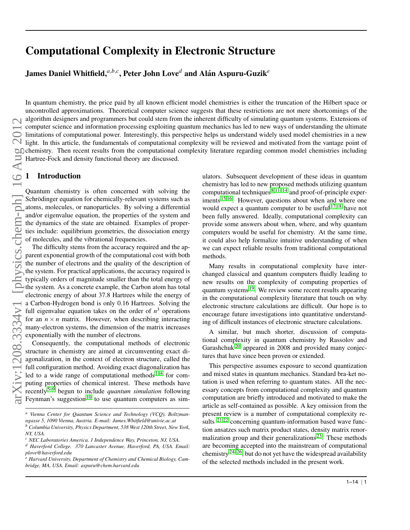# Computational Complexity in Electronic Structure

James Daniel Whitfield, ${}^{a,b,c}$ , Peter John Love ${}^{d}$  and Alán Aspuru-Guzik ${}^e$ 

In quantum chemistry, the price paid by all known efficient model chemistries is either the truncation of the Hilbert space or uncontrolled approximations. Theoretical computer science suggests that these restrictions are not mere shortcomings of the algorithm designers and programmers but could stem from the inherent difficulty of simulating quantum systems. Extensions of computer science and information processing exploiting quantum mechanics has led to new ways of understanding the ultimate limitations of computational power. Interestingly, this perspective helps us understand widely used model chemistries in a new light. In this article, the fundamentals of computational complexity will be reviewed and motivated from the vantage point of chemistry. Then recent results from the computational complexity literature regarding common model chemistries including Hartree-Fock and density functional theory are discussed.

# 1 Introduction

Quantum chemistry is often concerned with solving the Schrödinger equation for chemically-relevant systems such as atoms, molecules, or nanoparticles. By solving a differential and/or eigenvalue equation, the properties of the system and the dynamics of the state are obtained. Examples of properties include: equilibrium geometries, the dissociation energy of molecules, and the vibrational frequencies.

The difficulty stems from the accuracy required and the apparent exponential growth of the computational cost with both the number of electrons and the quality of the description of the system. For practical applications, the accuracy required is typically orders of magnitude smaller than the total energy of the system. As a concrete example, the Carbon atom has total electronic energy of about 37.8 Hartrees while the energy of a Carbon-Hydrogen bond is only 0.16 Hartrees. Solving the full eigenvalue equation takes on the order of  $n^3$  operations for an  $n \times n$  matrix. However, when describing interacting many-electron systems, the dimension of the matrix increases exponentially with the number of electrons.

Consequently, the computational methods of electronic structure in chemistry are aimed at circumventing exact diagonalization, in the context of electron structure, called the full configuration method. Avoiding exact diagonalization has led to a wide range of computational methods  $1-4$  $1-4$  for computing properties of chemical interest. These methods have recently[5](#page-13-2)[–9](#page-13-3) begun to include *quantum simulation* following Feynman's suggestion<sup>[10](#page-13-4)</sup> to use quantum computers as simulators. Subsequent development of these ideas in quantum chemistry has led to new proposed methods utilizing quantum computational techniques  $8,11-14$  $8,11-14$  $8,11-14$  and proof-of-principle exper-iments <sup>[15](#page-14-0)[,16](#page-14-1)</sup>. However, questions about when and where one would expect a quantum computer to be useful <sup>[17](#page-14-2)[,18](#page-14-3)</sup> have not been fully answered. Ideally, computational complexity can provide some answers about when, where, and why quantum computers would be useful for chemistry. At the same time, it could also help formalize intuitive understanding of when we can expect reliable results from traditional computational methods.

Many results in computational complexity have interchanged classical and quantum computers fluidly leading to new results on the complexity of computing properties of quantum systems <sup>[19](#page-14-4)</sup>. We review some recent results appearing in the computational complexity literature that touch on why electronic structure calculations are difficult. Our hope is to encourage future investigations into quantitative understanding of difficult instances of electronic structure calculations.

A similar, but much shorter, discussion of computational complexity in quantum chemistry by Rassolov and Garashchuk<sup>[20](#page-14-5)</sup> appeared in 2008 and provided many conjectures that have since been proven or extended.

This perspective assumes exposure to second quantization and mixed states in quantum mechanics. Standard bra-ket notation is used when referring to quantum states. All the necessary concepts from computational complexity and quantum computation are briefly introduced and motivated to make the article as self-contained as possible. A key omission from the present review is a number of computational complexity results  $21,22$  $21,22$  concerning quantum-information based wave function ansatzes such matrix product states, density matrix renormalization group and their generalizations  $2<sup>3</sup>$ . These methods are becoming accepted into the mainstream of computational chemistry<sup>[24–](#page-14-9)[26](#page-14-10)</sup>, but do not yet have the widespread availability of the selected methods included in the present work.

 $\overline{\mathcal{C}}$ 

*<sup>a</sup> Vienna Center for Quantum Science and Technology (VCQ), Boltzmanngasse 5, 1090 Vienna, Austria. E-mail: James.Whitfield@univie.ac.at*

*<sup>b</sup> Columbia University, Physics Department, 538 West 120th Street, New York, NY, USA. <sup>c</sup> NEC Laboratories America, 1 Independence Way, Princeton, NJ, USA.*

*<sup>d</sup> Haverford College. 370 Lancaster Avenue, Haverford, PA, USA. Email: plove@haverford.edu*

*<sup>e</sup> Harvard University, Department of Chemistry and Chemical Biology, Cambridge, MA, USA. Email: aspuru@chem.harvard.edu*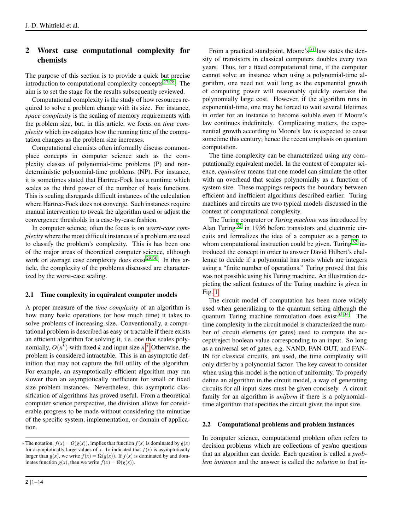# 2 Worst case computational complexity for chemists

The purpose of this section is to provide a quick but precise introduction to computational complexity concepts  $27,28$  $27,28$ . The aim is to set the stage for the results subsequently reviewed.

Computational complexity is the study of how resources required to solve a problem change with its size. For instance, *space complexity* is the scaling of memory requirements with the problem size, but, in this article, we focus on *time complexity* which investigates how the running time of the computation changes as the problem size increases.

Computational chemists often informally discuss commonplace concepts in computer science such as the complexity classes of polynomial-time problems (P) and nondeterministic polynomial-time problems (NP). For instance, it is sometimes stated that Hartree-Fock has a runtime which scales as the third power of the number of basis functions. This is scaling disregards difficult instances of the calculation where Hartree-Fock does not converge. Such instances require manual intervention to tweak the algorithm used or adjust the convergence thresholds in a case-by-case fashion.

In computer science, often the focus is on *worst-case complexity* where the most difficult instances of a problem are used to classify the problem's complexity. This is has been one of the major areas of theoretical computer science, although work on average case complexity does exist $29,30$  $29,30$ . In this article, the complexity of the problems discussed are characterized by the worst-case scaling.

# 2.1 Time complexity in equivalent computer models

A proper measure of the *time complexity* of an algorithm is how many basic operations (or how much time) it takes to solve problems of increasing size. Conventionally, a computational problem is described as easy or tractable if there exists an efficient algorithm for solving it, i.e. one that scales polynomially,  $O(n^k)$  with fixed *k* and input size *n*.\* Otherwise, the problem is considered intractable. This is an asymptotic definition that may not capture the full utility of the algorithm. For example, an asymptotically efficient algorithm may run slower than an asymptotically inefficient for small or fixed size problem instances. Nevertheless, this asymptotic classification of algorithms has proved useful. From a theoretical computer science perspective, the division allows for considerable progress to be made without considering the minutiae of the specific system, implementation, or domain of application.

From a practical standpoint, Moore's $31$  law states the density of transistors in classical computers doubles every two years. Thus, for a fixed computational time, if the computer cannot solve an instance when using a polynomial-time algorithm, one need not wait long as the exponential growth of computing power will reasonably quickly overtake the polynomially large cost. However, if the algorithm runs in exponential-time, one may be forced to wait several lifetimes in order for an instance to become soluble even if Moore's law continues indefinitely. Complicating matters, the exponential growth according to Moore's law is expected to cease sometime this century; hence the recent emphasis on quantum computation.

The time complexity can be characterized using any computationally equivalent model. In the context of computer science, *equivalent* means that one model can simulate the other with an overhead that scales polynomially as a function of system size. These mappings respects the boundary between efficient and inefficient algorithms described earlier. Turing machines and circuits are two typical models discussed in the context of computational complexity.

The Turing computer or *Turing machine* was introduced by Alan Turing [32](#page-14-16) in 1936 before transistors and electronic circuits and formalizes the idea of a computer as a person to whom computational instruction could be given. Turing  $32$  introduced the concept in order to answer David Hilbert's challenge to decide if a polynomial has roots which are integers using a "finite number of operations." Turing proved that this was not possible using his Turing machine. An illustration depicting the salient features of the Turing machine is given in Fig. [1.](#page-3-0)

The circuit model of computation has been more widely used when generalizing to the quantum setting although the quantum Turing machine formulation does exist  $33,34$  $33,34$ . The time complexity in the circuit model is characterized the number of circuit elements (or gates) used to compute the accept/reject boolean value corresponding to an input. So long as a universal set of gates, e.g. NAND, FAN-OUT, and FAN-IN for classical circuits, are used, the time complexity will only differ by a polynomial factor. The key caveat to consider when using this model is the notion of uniformity. To properly define an algorithm in the circuit model, a way of generating circuits for all input sizes must be given concisely. A circuit family for an algorithm is *uniform* if there is a polynomialtime algorithm that specifies the circuit given the input size.

#### 2.2 Computational problems and problem instances

In computer science, computational problem often refers to decision problems which are collections of yes/no questions that an algorithm can decide. Each question is called a *problem instance* and the answer is called the *solution* to that in-

<span id="page-2-0"></span> $*$  The notation,  $f(x) = O(g(x))$ , implies that function  $f(x)$  is dominated by  $g(x)$ for asymptotically large values of  $x$ . To indicated that  $f(x)$  is asymptotically larger than  $g(x)$ , we write  $f(x) = \Omega(g(x))$ . If  $f(x)$  is dominated by and dominates function  $g(x)$ , then we write  $f(x) = \Theta(g(x))$ .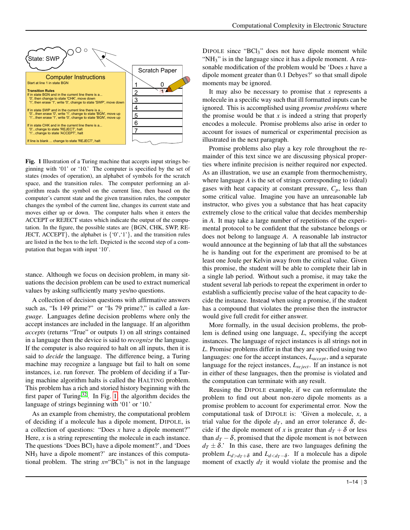<span id="page-3-0"></span>

Fig. 1 Illustration of a Turing machine that accepts input strings beginning with '01' or '10.' The computer is specified by the set of states (modes of operation), an alphabet of symbols for the scratch space, and the transition rules. The computer performing an algorithm reads the symbol on the current line, then based on the computer's current state and the given transition rules, the computer changes the symbol of the current line, changes its current state and moves either up or down. The computer halts when it enters the ACCEPT or REJECT states which indicate the output of the computation. In the figure, the possible states are {BGN, CHK, SWP, RE-JECT, ACCEPT $\}$ , the alphabet is  $\{0, 1, 1\}$ , and the transition rules are listed in the box to the left. Depicted is the second step of a computation that began with input '10'.

stance. Although we focus on decision problem, in many situations the decision problem can be used to extract numerical values by asking sufficiently many yes/no questions.

A collection of decision questions with affirmative answers such as, "Is 149 prime?" or "Is 79 prime?," is called a *language*. Languages define decision problems where only the accept instances are included in the language. If an algorithm *accepts* (returns "True" or outputs 1) on all strings contained in a language then the device is said to *recognize* the language. If the computer is also required to halt on all inputs, then it is said to *decide* the language. The difference being, a Turing machine may recognize a language but fail to halt on some instances, i.e. run forever. The problem of deciding if a Turing machine algorithm halts is called the HALTING problem. This problem has a rich and storied history beginning with the first paper of Turing  $32$ . In Fig. [1,](#page-3-0) the algorithm decides the language of strings beginning with '01' or '10.'

As an example from chemistry, the computational problem of deciding if a molecule has a dipole moment, DIPOLE, is a collection of questions: "Does *x* have a dipole moment?" Here, *x* is a string representing the molecule in each instance. The questions 'Does  $BCl<sub>3</sub>$  have a dipole moment?', and 'Does NH<sub>3</sub> have a dipole moment?' are instances of this computational problem. The string  $x = \text{BCl}_3$ " is not in the language

DIPOLE since "BCl<sub>3</sub>" does not have dipole moment while "NH<sub>3</sub>" is in the language since it has a dipole moment. A reasonable modification of the problem would be 'Does *x* have a dipole moment greater than 0.1 Debyes?' so that small dipole moments may be ignored.

It may also be necessary to promise that *x* represents a molecule in a specific way such that ill formatted inputs can be ignored. This is accomplished using *promise problems* where the promise would be that *x* is indeed a string that properly encodes a molecule. Promise problems also arise in order to account for issues of numerical or experimental precision as illustrated in the next paragraph.

Promise problems also play a key role throughout the remainder of this text since we are discussing physical properties where infinite precision is neither required nor expected. As an illustration, we use an example from thermochemistry, where language *A* is the set of strings corresponding to (ideal) gases with heat capacity at constant pressure, *Cp*, less than some critical value. Imagine you have an unreasonable lab instructor, who gives you a substance that has heat capacity extremely close to the critical value that decides membership in *A*. It may take a large number of repetitions of the experimental protocol to be confident that the substance belongs or does not belong to language *A*. A reasonable lab instructor would announce at the beginning of lab that all the substances he is handing out for the experiment are promised to be at least one Joule per Kelvin away from the critical value. Given this promise, the student will be able to complete their lab in a single lab period. Without such a promise, it may take the student several lab periods to repeat the experiment in order to establish a sufficiently precise value of the heat capacity to decide the instance. Instead when using a promise, if the student has a compound that violates the promise then the instructor would give full credit for either answer.

More formally, in the usual decision problems, the problem is defined using one language, *L*, specifying the accept instances. The language of reject instances is all strings not in *L*. Promise problems differ in that they are specified using two languages: one for the accept instances, *Laccept*, and a separate language for the reject instances, *Lre ject*. If an instance is not in either of these languages, then the promise is violated and the computation can terminate with any result.

Reusing the DIPOLE example, if we can reformulate the problem to find out about non-zero dipole moments as a promise problem to account for experimental error. Now the computational task of DIPOLE is: 'Given a molecule, *x*, a trial value for the dipole  $d_T$ , and an error tolerance  $\delta$ , decide if the dipole moment of *x* is greater than  $d_T + \delta$  or less than  $d_T - \delta$ , promised that the dipole moment is not between  $d_T \pm \delta$ . In this case, there are two languages defining the problem  $L_{d>d_T+\delta}$  and  $L_{d. If a molecule has a dipole$ moment of exactly  $d<sub>T</sub>$  it would violate the promise and the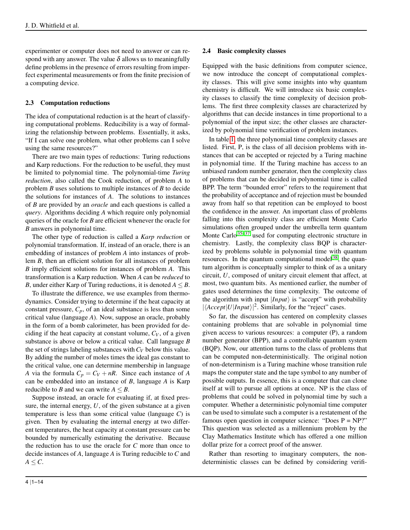experimenter or computer does not need to answer or can respond with any answer. The value  $\delta$  allows us to meaningfully define problems in the presence of errors resulting from imperfect experimental measurements or from the finite precision of a computing device.

#### 2.3 Computation reductions

The idea of computational reduction is at the heart of classifying computational problems. Reducibility is a way of formalizing the relationship between problems. Essentially, it asks, "If I can solve one problem, what other problems can I solve using the same resources?"

There are two main types of reductions: Turing reductions and Karp reductions. For the reduction to be useful, they must be limited to polynomial time. The polynomial-time *Turing reduction*, also called the Cook reduction, of problem *A* to problem *B* uses solutions to multiple instances of *B* to decide the solutions for instances of *A*. The solutions to instances of *B* are provided by an *oracle* and each questions is called a *query*. Algorithms deciding *A* which require only polynomial queries of the oracle for *B* are efficient whenever the oracle for *B* answers in polynomial time.

The other type of reduction is called a *Karp reduction* or polynomial transformation. If, instead of an oracle, there is an embedding of instances of problem *A* into instances of problem *B*, then an efficient solution for all instances of problem *B* imply efficient solutions for instances of problem *A*. This transformation is a Karp reduction. When *A* can be *reduced* to *B*, under either Karp of Turing reductions, it is denoted  $A \leq B$ .

To illustrate the difference, we use examples from thermodynamics. Consider trying to determine if the heat capacity at constant pressure,  $C_p$ , of an ideal substance is less than some critical value (language *A*). Now, suppose an oracle, probably in the form of a bomb calorimeter, has been provided for deciding if the heat capacity at constant volume,  $C_V$ , of a given substance is above or below a critical value. Call language *B* the set of strings labeling substances with*C<sup>V</sup>* below this value. By adding the number of moles times the ideal gas constant to the critical value, one can determine membership in language *A* via the formula  $C_p = C_V + nR$ . Since each instance of *A* can be embedded into an instance of *B*, language *A* is Karp reducible to *B* and we can write  $A \leq B$ .

Suppose instead, an oracle for evaluating if, at fixed pressure, the internal energy, *U*, of the given substance at a given temperature is less than some critical value (language *C*) is given. Then by evaluating the internal energy at two different temperatures, the heat capacity at constant pressure can be bounded by numerically estimating the derivative. Because the reduction has to use the oracle for *C* more than once to decide instances of *A*, language *A* is Turing reducible to *C* and  $A \leq C$ .

#### 2.4 Basic complexity classes

Equipped with the basic definitions from computer science, we now introduce the concept of computational complexity classes. This will give some insights into why quantum chemistry is difficult. We will introduce six basic complexity classes to classify the time complexity of decision problems. The first three complexity classes are characterized by algorithms that can decide instances in time proportional to a polynomial of the input size; the other classes are characterized by polynomial time verification of problem instances.

In table [1,](#page-6-0) the three polynomial time complexity classes are listed. First, P, is the class of all decision problems with instances that can be accepted or rejected by a Turing machine in polynomial time. If the Turing machine has access to an unbiased random number generator, then the complexity class of problems that can be decided in polynomial time is called BPP. The term "bounded error" refers to the requirement that the probability of acceptance and of rejection must be bounded away from half so that repetition can be employed to boost the confidence in the answer. An important class of problems falling into this complexity class are efficient Monte Carlo simulations often grouped under the umbrella term quantum Monte Carlo<sup>[35](#page-14-19)[–37](#page-14-20)</sup> used for computing electronic structure in chemistry. Lastly, the complexity class BQP is characterized by problems soluble in polynomial time with quantum resources. In the quantum computational model<sup>[38](#page-14-21)</sup>, the quantum algorithm is conceptually simpler to think of as a unitary circuit, *U*, composed of unitary circuit element that affect, at most, two quantum bits. As mentioned earlier, the number of gates used determines the time complexity. The outcome of the algorithm with input  $|Input\rangle$  is "accept" with probability  $|\langle Accept|U|Input\rangle|^2$ . Similarly, for the "reject" cases.

So far, the discussion has centered on complexity classes containing problems that are solvable in polynomial time given access to various resources: a computer (P), a random number generator (BPP), and a controllable quantum system (BQP). Now, our attention turns to the class of problems that can be computed non-deterministically. The original notion of non-determinism is a Turing machine whose transition rule maps the computer state and the tape symbol to any number of possible outputs. In essence, this is a computer that can clone itself at will to pursue all options at once. NP is the class of problems that could be solved in polynomial time by such a computer. Whether a deterministic polynomial time computer can be used to simulate such a computer is a restatement of the famous open question in computer science: "Does  $P = NP$ ?" This question was selected as a millennium problem by the Clay Mathematics Institute which has offered a one million dollar prize for a correct proof of the answer.

Rather than resorting to imaginary computers, the nondeterministic classes can be defined by considering verifi-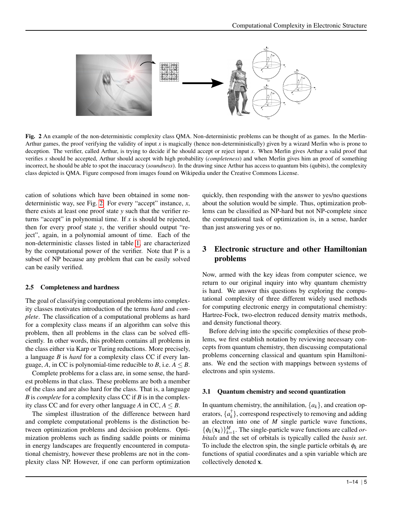<span id="page-5-0"></span>

Fig. 2 An example of the non-deterministic complexity class QMA. Non-deterministic problems can be thought of as games. In the Merlin-Arthur games, the proof verifying the validity of input *x* is magically (hence non-deterministically) given by a wizard Merlin who is prone to deception. The verifier, called Arthur, is trying to decide if he should accept or reject input *x*. When Merlin gives Arthur a valid proof that verifies *x* should be accepted, Arthur should accept with high probability (*completeness*) and when Merlin gives him an proof of something incorrect, he should be able to spot the inaccuracy (*soundness*). In the drawing since Arthur has access to quantum bits (qubits), the complexity class depicted is QMA. Figure composed from images found on Wikipedia under the Creative Commons License.

cation of solutions which have been obtained in some nondeterministic way, see Fig. [2.](#page-5-0) For every "accept" instance, *x*, there exists at least one proof state *y* such that the verifier returns "accept" in polynomial time. If *x* is should be rejected, then for every proof state *y*, the verifier should output "reject", again, in a polynomial amount of time. Each of the non-deterministic classes listed in table [1,](#page-6-0) are characterized by the computational power of the verifier. Note that P is a subset of NP because any problem that can be easily solved can be easily verified.

#### 2.5 Completeness and hardness

The goal of classifying computational problems into complexity classes motivates introduction of the terms *hard* and *complete*. The classification of a computational problems as hard for a complexity class means if an algorithm can solve this problem, then all problems in the class can be solved efficiently. In other words, this problem contains all problems in the class either via Karp or Turing reductions. More precisely, a language *B* is *hard* for a complexity class CC if every language, *A*, in CC is polynomial-time reducible to *B*, i.e.  $A \leq B$ .

Complete problems for a class are, in some sense, the hardest problems in that class. These problems are both a member of the class and are also hard for the class. That is, a language *B* is *complete* for a complexity class CC if *B* is in the complexity class CC and for every other language *A* in CC,  $A \leq B$ .

The simplest illustration of the difference between hard and complete computational problems is the distinction between optimization problems and decision problems. Optimization problems such as finding saddle points or minima in energy landscapes are frequently encountered in computational chemistry, however these problems are not in the complexity class NP. However, if one can perform optimization quickly, then responding with the answer to yes/no questions about the solution would be simple. Thus, optimization problems can be classified as NP-hard but not NP-complete since the computational task of optimization is, in a sense, harder than just answering yes or no.

# 3 Electronic structure and other Hamiltonian problems

Now, armed with the key ideas from computer science, we return to our original inquiry into why quantum chemistry is hard. We answer this questions by exploring the computational complexity of three different widely used methods for computing electronic energy in computational chemistry: Hartree-Fock, two-electron reduced density matrix methods, and density functional theory.

Before delving into the specific complexities of these problems, we first establish notation by reviewing necessary concepts from quantum chemistry, then discussing computational problems concerning classical and quantum spin Hamiltonians. We end the section with mappings between systems of electrons and spin systems.

#### 3.1 Quantum chemistry and second quantization

In quantum chemistry, the annihilation,  $\{a_k\}$ , and creation operators,  $\{a_k^{\dagger}\}$ , correspond respectively to removing and adding an electron into one of *M* single particle wave functions,  $\{\phi_k(\mathbf{x}_1)\}_{k=1}^M$ . The single-particle wave functions are called *orbitals* and the set of orbitals is typically called the *basis set*. To include the electron spin, the single particle orbitals  $\phi_k$  are functions of spatial coordinates and a spin variable which are collectively denoted x.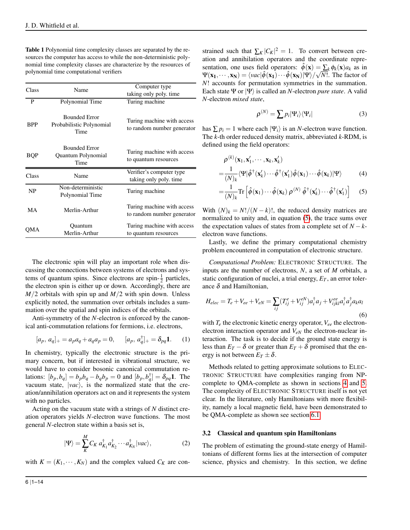<span id="page-6-0"></span>Table 1 Polynomial time complexity classes are separated by the resources the computer has access to while the non-deterministic polynomial time complexity classes are characterize by the resources of polynomial time computational verifiers

| Class      | Name                                                     | Computer type                                            |
|------------|----------------------------------------------------------|----------------------------------------------------------|
|            |                                                          | taking only poly, time                                   |
| P          | Polynomial Time                                          | Turing machine                                           |
| <b>BPP</b> | <b>Bounded Error</b><br>Probabilistic Polynomial<br>Time | Turing machine with access<br>to random number generator |
| <b>BQP</b> | <b>Bounded Error</b><br>Quantum Polynomial<br>Time       | Turing machine with access<br>to quantum resources       |
| Class      | Name                                                     | Verifier's computer type<br>taking only poly, time       |
| NP.        | Non-deterministic<br>Polynomial Time                     | Turing machine                                           |
| MА         | Merlin-Arthur                                            | Turing machine with access<br>to random number generator |
| OMA        | Quantum<br>Merlin-Arthur                                 | Turing machine with access<br>to quantum resources       |

The electronic spin will play an important role when discussing the connections between systems of electrons and systems of quantum spins. Since electrons are spin- $\frac{1}{2}$  particles, the electron spin is either up or down. Accordingly, there are *M*/2 orbitals with spin up and *M*/2 with spin down. Unless explicitly noted, the summation over orbitals includes a summation over the spatial and spin indices of the orbitals.

Anti-symmetry of the *N*-electron is enforced by the canonical anti-commutation relations for fermions, i.e. electrons,

$$
[a_p, a_q]_+ = a_p a_q + a_q a_p = 0, \qquad [a_p, a_q^\dagger]_+ = \delta_{pq} \mathbf{1}.\tag{1}
$$

In chemistry, typically the electronic structure is the primary concern, but if interested in vibrational structure, we would have to consider bosonic canonical commutation relations:  $[b_p, b_q] = b_p b_q - b_q b_p = 0$  and  $[b_p, b_q^{\dagger}] = \delta_{pq} 1$ . The vacuum state,  $|vac\rangle$ , is the normalized state that the creation/annihilation operators act on and it represents the system with no particles.

Acting on the vacuum state with a strings of *N* distinct creation operators yields *N*-electron wave functions. The most general *N*-electron state within a basis set is,

<span id="page-6-3"></span>
$$
|\Psi\rangle = \sum_{K}^{M} C_{K} a_{K_{1}}^{\dagger} a_{K_{2}}^{\dagger} \cdots a_{K_{N}}^{\dagger} |vac\rangle, \qquad (2)
$$

with  $K = (K_1, \dots, K_N)$  and the complex valued  $C_K$  are con-

strained such that  $\sum_K |C_K|^2 = 1$ . To convert between creation and annihilation operators and the coordinate representation, one uses field operators:  $\hat{\phi}(\mathbf{x}) = \sum_{k} \phi_k(\mathbf{x}) a_k$  as in  $\Psi(\mathbf{x_1},\cdots,\mathbf{x_N}) = \langle vac | \hat{\phi}(\mathbf{x_1})\cdots\hat{\phi}(\mathbf{x_N}) | \Psi \rangle / \sqrt{N!}$ . The factor of *N*! accounts for permutation symmetries in the summation. Each state Ψ or  $|\Psi\rangle$  is called an *N*-electron *pure state*. A valid *N*-electron *mixed state*,

<span id="page-6-1"></span>
$$
\rho^{(N)} = \sum p_i |\Psi_i\rangle\langle\Psi_i| \tag{3}
$$

has  $\sum p_i = 1$  where each  $|\Psi_i\rangle$  is an *N*-electron wave function. The *k*-th order reduced density matrix, abbreviated *k*-RDM, is defined using the field operators:

$$
\rho^{(k)}(\mathbf{x}_1, \mathbf{x}'_1, \cdots, \mathbf{x}_k, \mathbf{x}'_k) = \frac{1}{(N)_k} \langle \Psi | \hat{\phi}^\dagger(\mathbf{x}'_k) \cdots \hat{\phi}^\dagger(\mathbf{x}'_1) \hat{\phi}(\mathbf{x}_1) \cdots \hat{\phi}(\mathbf{x}_k) | \Psi \rangle \tag{4}
$$

$$
= \frac{1}{(N)_k} \text{Tr} \left[ \hat{\phi}(\mathbf{x}_1) \cdots \hat{\phi}(\mathbf{x}_k) \, \rho^{(N)} \, \hat{\phi}^\dagger(\mathbf{x}'_k) \cdots \hat{\phi}^\dagger(\mathbf{x}'_1) \right] \quad (5)
$$

With  $(N)_k = N!/(N-k)!$ , the reduced density matrices are normalized to unity and, in equation [\(5\)](#page-6-1), the trace sums over the expectation values of states from a complete set of  $N - k$ electron wave functions.

Lastly, we define the primary computational chemistry problem encountered in computation of electronic structure.

*Computational Problem:* ELECTRONIC STRUCTURE. The inputs are the number of electrons, *N*, a set of *M* orbitals, a static configuration of nuclei, a trial energy,  $E_T$ , an error tolerance  $\delta$  and Hamiltonian,

<span id="page-6-4"></span>
$$
H_{elec} = T_e + V_{ee} + V_{eN} = \sum_{ij} (T_{ij}^e + V_{ij}^{eN}) a_i^{\dagger} a_j + V_{ijkl}^{ee} a_i^{\dagger} a_j^{\dagger} a_k a_l
$$
\n
$$
(6)
$$

<span id="page-6-2"></span>with  $T_e$  the electronic kinetic energy operator,  $V_{ee}$  the electronelectron interaction operator and *VeN* the electron-nuclear interaction. The task is to decide if the ground state energy is less than  $E_T - \delta$  or greater than  $E_T + \delta$  promised that the energy is not between  $E_T \pm \delta$ .

Methods related to getting approximate solutions to ELEC-TRONIC STRUCTURE have complexities ranging from NPcomplete to QMA-complete as shown in sections [4](#page-9-0) and [5.](#page-9-1) The complexity of ELECTRONIC STRUCTURE itself is not yet clear. In the literature, only Hamiltonians with more flexibility, namely a local magnetic field, have been demonstrated to be QMA-complete as shown see section [6.1.](#page-11-0)

#### 3.2 Classical and quantum spin Hamiltonians

The problem of estimating the ground-state energy of Hamiltonians of different forms lies at the intersection of computer science, physics and chemistry. In this section, we define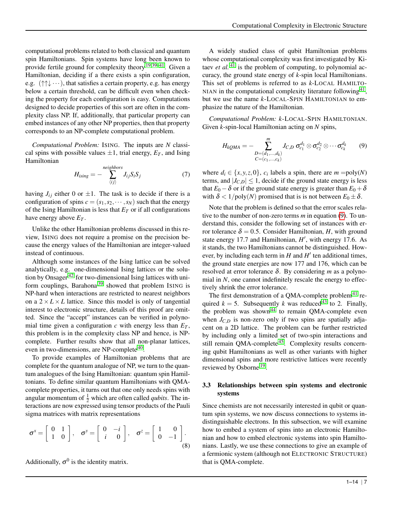computational problems related to both classical and quantum spin Hamiltonians. Spin systems have long been known to provide fertile ground for complexity theory<sup>[19,](#page-14-4)[39](#page-14-22)[–41](#page-14-23)</sup>. Given a Hamiltonian, deciding if a there exists a spin configuration, e.g.  $(\uparrow \uparrow \downarrow \cdots)$ , that satisfies a certain property, e.g. has energy below a certain threshold, can be difficult even when checking the property for each configuration is easy. Computations designed to decide properties of this sort are often in the complexity class NP. If, additionally, that particular property can embed instances of any other NP properties, then that property corresponds to an NP-complete computational problem.

*Computational Problem:* ISING. The inputs are *N* classical spins with possible values  $\pm 1$ , trial energy,  $E_T$ , and Ising Hamiltonian

$$
H_{\text{ising}} = -\sum_{\langle ij \rangle}^{\text{neighbors}} J_{ij} S_i S_j \tag{7}
$$

having  $J_{ij}$  either 0 or  $\pm 1$ . The task is to decide if there is a configuration of spins  $c = (s_1, s_2, \dots, s_N)$  such that the energy of the Ising Hamiltonian is less that  $E_T$  or if all configurations have energy above *E<sup>T</sup>* .

Unlike the other Hamiltonian problems discussed in this review, ISING does not require a promise on the precision because the energy values of the Hamiltonian are integer-valued instead of continuous.

Although some instances of the Ising lattice can be solved analytically, e.g. one-dimensional Ising lattices or the solution by Onsager [42](#page-14-24) for two-dimensional Ising lattices with uni-form couplings, Barahona<sup>[39](#page-14-22)</sup> showed that problem ISING is NP-hard when interactions are restricted to nearest neighbors on a  $2 \times L \times L$  lattice. Since this model is only of tangential interest to electronic structure, details of this proof are omitted. Since the "accept" instances can be verified in polynomial time given a configuration  $c$  with energy less than  $E_T$ , this problem is in the complexity class NP and hence, is NPcomplete. Further results show that all non-planar lattices, even in two-dimensions, are NP-complete<sup>[40](#page-14-25)</sup>.

To provide examples of Hamiltonian problems that are complete for the quantum analogue of NP, we turn to the quantum analogues of the Ising Hamiltonian: quantum spin Hamiltonians. To define similar quantum Hamiltonians with QMAcomplete properties, it turns out that one only needs spins with angular momentum of  $\frac{1}{2}$  which are often called *qubits*. The interactions are now expressed using tensor products of the Pauli sigma matrices with matrix representations

$$
\boldsymbol{\sigma}^x = \begin{bmatrix} 0 & 1 \\ 1 & 0 \end{bmatrix}, \quad \boldsymbol{\sigma}^y = \begin{bmatrix} 0 & -i \\ i & 0 \end{bmatrix}, \quad \boldsymbol{\sigma}^z = \begin{bmatrix} 1 & 0 \\ 0 & -1 \end{bmatrix}.
$$
\n(8)

Additionally,  $\sigma^0$  is the identity matrix.

A widely studied class of qubit Hamiltonian problems whose computational complexity was first investigated by Kitaev *et al.*  $4\overline{1}$  is the problem of computing, to polynomial accuracy, the ground state energy of *k*-spin local Hamiltonians. This set of problems is referred to as *k*-LOCAL HAMILTO-NIAN in the computational complexity literature following  $41$ , but we use the name *k*-LOCAL-SPIN HAMILTONIAN to emphasize the nature of the Hamiltonian.

*Computational Problem: k*-LOCAL-SPIN HAMILTONIAN. Given *k*-spin-local Hamiltonian acting on *N* spins,

<span id="page-7-0"></span>
$$
H_{kQMA} = -\sum_{\substack{D=(d_1,\ldots,d_k)\\C=(c_1,\ldots,c_k)}}^m J_{C,D} \,\sigma_{c_1}^{d_1} \otimes \sigma_{c_2}^{d_2} \otimes \cdots \sigma_{c_k}^{d_k} \qquad (9)
$$

where  $d_i \in \{x, y, z, 0\}$ ,  $c_i$  labels a spin, there are  $m = \text{poly}(N)$ terms, and  $|J_{C,D}| \leq 1$ , decide if the ground state energy is less that  $E_0 - \delta$  or if the ground state energy is greater than  $E_0 + \delta$ with  $\delta < 1/\text{poly}(N)$  promised that is is not between  $E_0 \pm \delta$ .

Note that the problem is defined so that the error scales relative to the number of non-zero terms *m* in equation [\(9\)](#page-7-0). To understand this, consider the following set of instances with error tolerance  $\delta = 0.5$ . Consider Hamiltonian, *H*, with ground state energy 17.7 and Hamiltonian,  $H'$ , with energy 17.6. As it stands, the two Hamiltonians cannot be distinguished. However, by including each term in  $H$  and  $H'$  ten additional times, the ground state energies are now 177 and 176, which can be resolved at error tolerance δ. By considering *m* as a polynomial in *N*, one cannot indefinitely rescale the energy to effectively shrink the error tolerance.

The first demonstration of a QMA-complete problem<sup>[41](#page-14-23)</sup> required  $k = 5$ . Subsequently *k* was reduced<sup>[43](#page-14-26)</sup> to 2. Finally, the problem was shown<sup>[44](#page-14-27)</sup> to remain QMA-complete even when  $J_{C,D}$  is non-zero only if two spins are spatially adjacent on a 2D lattice. The problem can be further restricted by including only a limited set of two-spin interactions and still remain QMA-complete<sup>[45](#page-14-28)</sup>. Complexity results concerning qubit Hamiltonians as well as other variants with higher dimensional spins and more restrictive lattices were recently reviewed by Osborne<sup>[19](#page-14-4)</sup>.

#### <span id="page-7-1"></span>3.3 Relationships between spin systems and electronic systems

Since chemists are not necessarily interested in qubit or quantum spin systems, we now discuss connections to systems indistinguishable electrons. In this subsection, we will examine how to embed a system of spins into an electronic Hamiltonian and how to embed electronic systems into spin Hamiltonians. Lastly, we use these connections to give an example of a fermionic system (although not ELECTRONIC STRUCTURE) that is QMA-complete.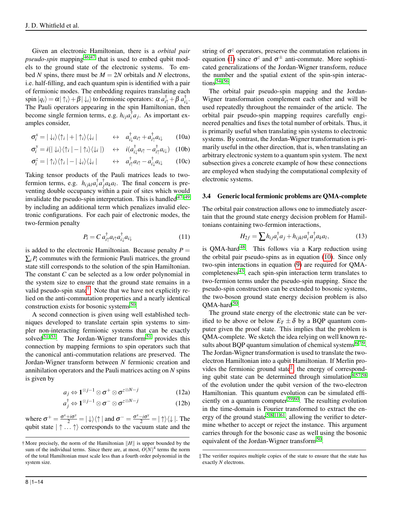Given an electronic Hamiltonian, there is a *orbital pair pseudo-spin* mapping<sup>[46,](#page-14-29)[47](#page-14-30)</sup> that is used to embed qubit models to the ground state of the electronic systems. To embed *N* spins, there must be  $M = 2N$  orbitals and *N* electrons, i.e. half-filling, and each quantum spin is identified with a pair of fermionic modes. The embedding requires translating each spin  $|q_i\rangle = \alpha |\uparrow_i\rangle + \beta |\downarrow_i\rangle$  to fermionic operators:  $\alpha a_{i\uparrow}^{\dagger} + \beta a_{i\downarrow}^{\dagger}$ . The Pauli operators appearing in the spin Hamiltonian, then become single fermion terms, e.g.  $h_{ij}a_i^{\dagger}a_j$ . As important examples consider,

<span id="page-8-1"></span>
$$
\sigma_i^x = |\downarrow_i\rangle\langle\uparrow_i| + |\uparrow_i\rangle\langle\downarrow_i| \qquad \leftrightarrow \quad a_{i\downarrow}^\dagger a_{i\uparrow} + a_{i\uparrow}^\dagger a_{i\downarrow} \qquad (10a)
$$

$$
\sigma_i^y = i(|\downarrow_i\rangle\langle\uparrow_i| - |\uparrow_i\rangle\langle\downarrow_i|) \quad \leftrightarrow \quad i(a_{i\downarrow}^\dagger a_{i\uparrow} - a_{i\uparrow}^\dagger a_{i\downarrow}) \quad (10b)
$$

$$
\sigma_i^z = |\uparrow_i\rangle\langle\uparrow_i| - |\downarrow_i\rangle\langle\downarrow_i| \qquad \leftrightarrow \quad a_{i\uparrow}^{\dagger}a_{i\uparrow} - a_{i\downarrow}^{\dagger}a_{i\downarrow} \qquad (10c)
$$

Taking tensor products of the Pauli matrices leads to twofermion terms, e.g.  $h_{ijkl}a_i^{\dagger}a_j^{\dagger}a_k a_l$ . The final concern is preventing double occupancy within a pair of sites which would invalidate the pseudo-spin interpretation. This is handled  $47-49$  $47-49$ by including an additional term which penalizes invalid electronic configurations. For each pair of electronic modes, the two-fermion penalty

<span id="page-8-4"></span>
$$
P_i = C a_{i\uparrow}^\dagger a_{i\uparrow} a_{i\downarrow}^\dagger a_{i\downarrow}
$$
 (11)

is added to the electronic Hamiltonian. Because penalty  $P =$  $\sum_i P_i$  commutes with the fermionic Pauli matrices, the ground state still corresponds to the solution of the spin Hamiltonian. The constant *C* can be selected as a low order polynomial in the system size to ensure that the ground state remains in a valid pseudo-spin state<sup>[†](#page-8-0)</sup>. Note that we have not explicitly relied on the anti-commutation properties and a nearly identical construction exists for bosonic systems<sup>[50](#page-14-32)</sup>.

A second connection is given using well established techniques developed to translate certain spin systems to simpler non-interacting fermionic systems that can be exactly solved<sup>[51](#page-14-33)[–53](#page-14-34)</sup>. The Jordan-Wigner transform<sup>51</sup> provides this connection by mapping fermions to spin operators such that the canonical anti-commutation relations are preserved. The Jordan-Wigner transform between *N* fermionic creation and annihilation operators and the Pauli matrices acting on *N* spins is given by

$$
a_j \Leftrightarrow \mathbf{1}^{\otimes j-1} \otimes \sigma^+ \otimes \sigma^{z \otimes N-j} \tag{12a}
$$

$$
a_j^{\dagger} \Leftrightarrow \mathbf{1}^{\otimes j-1} \otimes \sigma^{-} \otimes \sigma^{z \otimes N-j} \tag{12b}
$$

where  $\sigma^+ = \frac{\sigma^x + i\sigma^y}{2} = |\downarrow\rangle\langle\uparrow|$  and  $\sigma^- = \frac{\sigma^x - i\sigma^y}{2} = |\uparrow\rangle\langle\downarrow|$ . The qubit state  $|\uparrow \dots \uparrow \rangle$  corresponds to the vacuum state and the

string of  $\sigma^z$  operators, preserve the commutation relations in equation [\(1\)](#page-6-2) since  $\sigma^z$  and  $\sigma^{\pm}$  anti-commute. More sophisticated generalizations of the Jordan-Wigner transform, reduce the number and the spatial extent of the spin-spin interactions [54–](#page-14-35)[56](#page-14-36) .

The orbital pair pseudo-spin mapping and the Jordan-Wigner transformation complement each other and will be used repeatedly throughout the remainder of the article. The orbital pair pseudo-spin mapping requires carefully engineered penalties and fixes the total number of orbitals. Thus, it is primarily useful when translating spin systems to electronic systems. By contrast, the Jordan-Wigner transformation is primarily useful in the other direction, that is, when translating an arbitrary electronic system to a quantum spin system. The next subsection gives a concrete example of how these connections are employed when studying the computational complexity of electronic systems.

#### <span id="page-8-5"></span>3.4 Generic local fermionic problems are QMA-complete

The orbital pair construction allows one to immediately ascertain that the ground state energy decision problem for Hamiltonians containing two-fermion interactions,

<span id="page-8-3"></span>
$$
H_{2f} = \sum h_{ij} a_i^{\dagger} a_j + h_{ijkl} a_i^{\dagger} a_j^{\dagger} a_k a_l, \qquad (13)
$$

is  $OMA$ -hard<sup>[48](#page-14-37)</sup>. This follows via a Karp reduction using the orbital pair pseudo-spins as in equation [\(10\)](#page-8-1). Since only two-spin interactions in equation [\(9\)](#page-7-0) are required for QMAcompleteness [43](#page-14-26), each spin-spin interaction term translates to two-fermion terms under the pseudo-spin mapping. Since the pseudo-spin construction can be extended to bosonic systems, the two-boson ground state energy decision problem is also  $QMA$ -hard  $50$ .

The ground state energy of the electronic state can be verified to be above or below  $E_T \pm \delta$  by a BQP quantum computer given the proof state. This implies that the problem is QMA-complete. We sketch the idea relying on well known re-sults about BQP quantum simulation of chemical systems <sup>[6](#page-13-8)[,7,](#page-13-9)[9](#page-13-3)</sup>. The Jordan-Wigner transformation is used to translate the twoelectron Hamiltonian into a qubit Hamiltonian. If Merlin pro-vides the fermionic ground state<sup>[‡](#page-8-2)</sup>, the energy of correspond-ing qubit state can be determined through simulation<sup>[8](#page-13-5)[,57,](#page-14-38)[58](#page-14-39)</sup> of the evolution under the qubit version of the two-electron Hamiltonian. This quantum evolution can be simulated efficiently on a quantum computer [59](#page-14-40)[,60](#page-14-41). The resulting evolution in the time-domain is Fourier transformed to extract the en-ergy of the ground state<sup>[5,](#page-13-2)[8](#page-13-5)[,11,](#page-13-6)[61](#page-14-42)</sup>, allowing the verifier to determine whether to accept or reject the instance. This argument carries through for the bosonic case as well using the bosonic equivalent of the Jordan-Wigner transform<sup>[50](#page-14-32)</sup>.

<span id="page-8-0"></span> $\dagger$  More precisely, the norm of the Hamiltonian  $||H||$  is upper bounded by the sum of the individual terms. Since there are, at most,  $O(N)^4$  terms the norm of the total Hamiltonian must scale less than a fourth order polynomial in the system size.

<span id="page-8-2"></span><sup>‡</sup> The verifier requires multiple copies of the state to ensure that the state has exactly *N* electrons.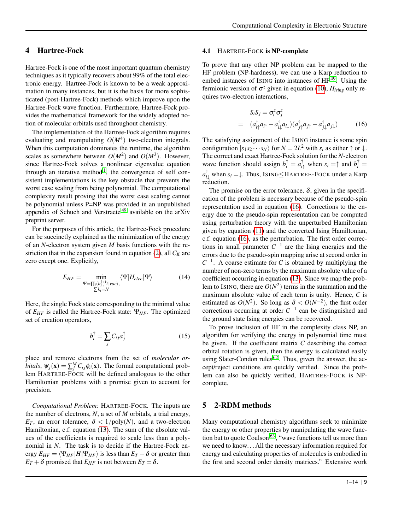## <span id="page-9-0"></span>4 Hartree-Fock

Hartree-Fock is one of the most important quantum chemistry techniques as it typically recovers about 99% of the total electronic energy. Hartree-Fock is known to be a weak approximation in many instances, but it is the basis for more sophisticated (post-Hartree-Fock) methods which improve upon the Hartree-Fock wave function. Furthermore, Hartree-Fock provides the mathematical framework for the widely adopted notion of molecular orbitals used throughout chemistry.

The implementation of the Hartree-Fock algorithm requires evaluating and manipulating  $O(M^4)$  two-electron integrals. When this computation dominates the runtime, the algorithm scales as somewhere between  $O(M^2)$  and  $O(M^3)$ . However, since Hartree-Fock solves a nonlinear eigenvalue equation through an iterative method<sup>[1](#page-13-0)</sup>, the convergence of self consistent implementations is the key obstacle that prevents the worst case scaling from being polynomial. The computational complexity result proving that the worst case scaling cannot be polynomial unless P=NP was provided in an unpublished appendix of Schuch and Verstraete [49](#page-14-31) available on the arXiv preprint server.

For the purposes of this article, the Hartree-Fock procedure can be succinctly explained as the minimization of the energy of an *N*-electron system given *M* basis functions with the re-striction that in the expansion found in equation [\(2\)](#page-6-3), all  $C_K$  are zero except one. Explicitly,

$$
E_{HF} = \min_{\substack{\Psi = \prod_i (b_i^{\dagger})^{k_i} | \text{vac}\rangle, \\ \sum k_i = N}} \langle \Psi | H_{elec} | \Psi \rangle \tag{14}
$$

Here, the single Fock state corresponding to the minimal value of *EHF* is called the Hartree-Fock state: Ψ*HF*. The optimized set of creation operators,

$$
b_i^{\dagger} = \sum_j C_{ij} a_j^{\dagger} \tag{15}
$$

place and remove electrons from the set of *molecular orbitals*,  $\psi_j(\mathbf{x}) = \sum_j^M C_{ij} \phi_i(\mathbf{x})$ . The formal computational problem HARTREE-FOCK will be defined analogous to the other Hamiltonian problems with a promise given to account for precision.

*Computational Problem:* HARTREE-FOCK*.* The inputs are the number of electrons, *N*, a set of *M* orbitals, a trial energy, *E*<sub>*T*</sub>, an error tolerance,  $\delta$  < 1/poly(*N*), and a two-electron Hamiltonian, c.f. equation [\(13\)](#page-8-3). The sum of the absolute values of the coefficients is required to scale less than a polynomial in *N*. The task is to decide if the Hartree-Fock energy  $E_{HF} = \langle \Psi_{HF} | H | \Psi_{HF} \rangle$  is less than  $E_T - \delta$  or greater than *E*<sub>*T*</sub> +  $\delta$  promised that *E*<sub>*HF*</sub> is not between *E*<sub>*T*</sub>  $\pm \delta$ .

#### 4.1 HARTREE-FOCK is NP-complete

To prove that any other NP problem can be mapped to the HF problem (NP-hardness), we can use a Karp reduction to embed instances of ISING into instances of  $HF<sup>49</sup>$  $HF<sup>49</sup>$  $HF<sup>49</sup>$ . Using the fermionic version of  $\sigma^z$  given in equation [\(10\)](#page-8-1),  $H_{ising}$  only requires two-electron interactions,

<span id="page-9-2"></span>
$$
S_i S_j = \sigma_i^z \sigma_j^z
$$
  
=  $(a_{i\uparrow}^{\dagger} a_{i\uparrow} - a_{i\downarrow}^{\dagger} a_{i\downarrow}) (a_{j\uparrow}^{\dagger} a_{j\uparrow} - a_{j\downarrow}^{\dagger} a_{j\downarrow})$  (16)

The satisfying assignment of the ISING instance is some spin configuration  $|s_1s_2 \cdots s_N\rangle$  for  $N = 2L^2$  with  $s_i$  as either  $\uparrow$  or  $\downarrow$ . The correct and exact Hartree-Fock solution for the *N*-electron wave function should assign  $b_i^{\dagger} = a_{i\uparrow}^{\dagger}$  when  $s_i = \uparrow$  and  $b_i^{\dagger} =$ *a* † *<sup>i</sup>*<sup>↓</sup> when *s<sup>i</sup>* =↓. Thus, ISING≤HARTREE-FOCK under a Karp reduction.

The promise on the error tolerance,  $\delta$ , given in the specification of the problem is necessary because of the pseudo-spin representation used in equation [\(16\)](#page-9-2). Corrections to the energy due to the pseudo-spin representation can be computed using perturbation theory with the unperturbed Hamiltonian given by equation [\(11\)](#page-8-4) and the converted Ising Hamiltonian, c.f. equation [\(16\)](#page-9-2), as the perturbation. The first order corrections in small parameter  $C^{-1}$  are the Ising energies and the errors due to the pseudo-spin mapping arise at second order in  $C^{-1}$ . A coarse estimate for *C* is obtained by multiplying the number of non-zero terms by the maximum absolute value of a coefficient occurring in equation [\(13\)](#page-8-3). Since we map the problem to ISING, there are  $O(N^2)$  terms in the summation and the maximum absolute value of each term is unity. Hence, *C* is estimated as  $O(N^2)$ . So long as  $\delta < O(N^{-2})$ , the first order corrections occurring at order  $C^{-1}$  can be distinguished and the ground state Ising energies can be recovered.

To prove inclusion of HF in the complexity class NP, an algorithm for verifying the energy in polynomial time must be given. If the coefficient matrix *C* describing the correct orbital rotation is given, then the energy is calculated easily using Slater-Condon rules  $62$ . Thus, given the answer, the accept/reject conditions are quickly verified. Since the problem can also be quickly verified, HARTREE-FOCK is NPcomplete.

## <span id="page-9-1"></span>5 2-RDM methods

Many computational chemistry algorithms seek to minimize the energy or other properties by manipulating the wave func-tion but to quote Coulson<sup>[63](#page-14-44)</sup>, "wave functions tell us more than we need to know. . . All the necessary information required for energy and calculating properties of molecules is embodied in the first and second order density matrices." Extensive work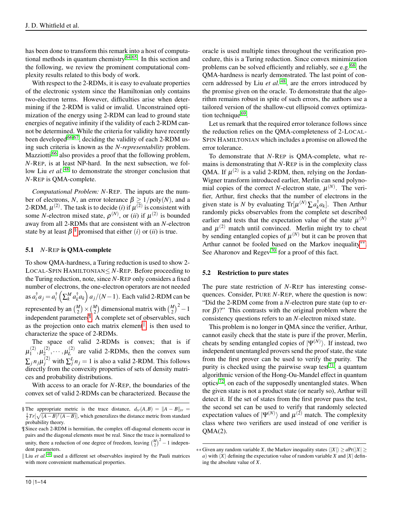has been done to transform this remark into a host of computa-tional methods in quantum chemistry<sup>[64](#page-14-45)[,65](#page-14-46)</sup>. In this section and the following, we review the prominent computational complexity results related to this body of work.

With respect to the 2-RDMs, it is easy to evaluate properties of the electronic system since the Hamiltonian only contains two-electron terms. However, difficulties arise when determining if the 2-RDM is valid or invalid. Unconstrained optimization of the energy using 2-RDM can lead to ground state energies of negative infinity if the validity of each 2-RDM cannot be determined. While the criteria for validity have recently been developed  $66,67$  $66,67$ , deciding the validity of each 2-RDM using such criteria is known as the *N-representability* problem. Mazziotti<sup>[66](#page-14-47)</sup> also provides a proof that the following problem, *N*-REP, is at least NP-hard. In the next subsection, we follow Liu *et al.* <sup>[48](#page-14-37)</sup> to demonstrate the stronger conclusion that *N*-REP is QMA-complete.

*Computational Problem: N*-REP. The inputs are the number of electrons, *N*, an error tolerance  $\beta > 1/poly(N)$ , and a 2-RDM,  $\mu^{(2)}$ . The task is to decide (*i*) if  $\mu^{(2)}$  is consistent with some *N*-electron mixed state,  $\rho^{(N)}$ , or (*ii*) if  $\mu^{(2)}$  is bounded away from all 2-RDMs that are consistent with an *N*-electron state by at least  $\beta$ <sup>[§](#page-10-0)</sup> promised that either (*i*) or (*ii*) is true.

## 5.1 *N*-REP is QMA-complete

To show QMA-hardness, a Turing reduction is used to show 2- LOCAL-SPIN HAMILTONIAN≤ *N*-REP. Before proceeding to the Turing reduction, note, since *N*-REP only considers a fixed number of electrons, the one-electron operators are not needed as  $a_i^\dagger a_j = a_i^\dagger \left( \sum_k^M a_k^\dagger a_k \right) a_j/(N-1)$ . Each valid 2-RDM can be represented by an  $\binom{M}{2} \times \binom{M}{2}$  dimensional matrix with  $\binom{M}{2}^2 - 1$ independent parameters[¶](#page-10-1) . A complete set of observables, such as the projection onto each matrix element<sup> $\parallel$ </sup>, is then used to characterize the space of 2-RDMs.

The space of valid 2-RDMs is convex; that is if  $\mu_1^{(2)}$  $\mathbf{1}^{(2)}, \mathbf{\mu}_2^{(2)}$  $\mu_L^{(2)},\cdots,\mu_L^{(2)}$  $L^{(2)}$  are valid 2-RDMs, then the convex sum  $\sum_j n_j \mu_j^{(2)}$  with  $\sum_j^L n_j = 1$  is also a valid 2-RDM. This follows directly from the convexity properties of sets of density matrices and probability distributions.

With access to an oracle for *N*-REP, the boundaries of the convex set of valid 2-RDMs can be characterized. Because the oracle is used multiple times throughout the verification procedure, this is a Turing reduction. Since convex minimization problems can be solved efficiently and reliably, see e.g. [68](#page-14-49), the QMA-hardness is nearly demonstrated. The last point of concern addressed by Liu *et al.* [48](#page-14-37) , are the errors introduced by the promise given on the oracle. To demonstrate that the algorithm remains robust in spite of such errors, the authors use a tailored version of the shallow-cut ellipsoid convex optimiza-tion technique <sup>[69](#page-14-50)</sup>.

Let us remark that the required error tolerance follows since the reduction relies on the QMA-completeness of 2-LOCAL-SPIN HAMILTONIAN which includes a promise on allowed the error tolerance.

To demonstrate that *N*-REP is QMA-complete, what remains is demonstrating that *N*-REP is in the complexity class QMA. If  $\mu^{(2)}$  is a valid 2-RDM, then, relying on the Jordan-Wigner transform introduced earlier, Merlin can send polynomial copies of the correct *N*-electron state,  $\mu^{(N)}$ . The verifier, Arthur, first checks that the number of electrons in the given state is *N* by evaluating  $\text{Tr}[\mu^{(N)}\sum a_k^{\dagger}a_k]$ . Then Arthur randomly picks observables from the complete set described earlier and tests that the expectation value of the state  $\mu^{(N)}$ and  $\mu^{(2)}$  match until convinced. Merlin might try to cheat by sending entangled copies of  $\mu^{(N)}$  but it can be proven that Arthur cannot be fooled based on the Markov inequality<sup>\*\*</sup>. See Aharonov and Regev<sup>[70](#page-14-51)</sup> for a proof of this fact.

#### 5.2 Restriction to pure states

The pure state restriction of *N*-REP has interesting consequences. Consider, PURE *N*-REP, where the question is now: "Did the 2-RDM come from a *N*-electron pure state (up to error β)?" This contrasts with the original problem where the consistency questions refers to an *N*-electron mixed state.

This problem is no longer in QMA since the verifier, Arthur, cannot easily check that the state is pure if the prover, Merlin, cheats by sending entangled copies of  $|\Psi^{(N)}\rangle$ . If instead, two independent unentangled provers send the proof state, the state from the first prover can be used to verify the purity. The purity is checked using the pairwise swap test<sup>[71](#page-14-52)</sup>, a quantum algorithmic version of the Hong-Ou-Mandel effect in quantum optics [72](#page-14-53), on each of the supposedly unentangled states. When the given state is not a product state (or nearly so), Arthur will detect it. If the set of states from the first prover pass the test, the second set can be used to verify that randomly selected expectation values of  $|\Psi^{(N)}\rangle$  and  $\mu^{(2)}$  match. The complexity class where two verifiers are used instead of one verifier is  $QMA(2)$ .

<span id="page-10-0"></span><sup>§</sup> The appropriate metric is the trace distance,  $d_{tr}(A, B) = ||A - B||_{tr} =$  $\frac{1}{2}Tr[\sqrt{(A-B)^{\dagger}(A-B)}]$ , which generalizes the distance metric from standard probability theory.

<span id="page-10-1"></span><sup>¶</sup> Since each 2-RDM is hermitian, the complex off-diagonal elements occur in pairs and the diagonal elements must be real. Since the trace is normalized to unity, there a reduction of one degree of freedom, leaving  $\binom{M}{2}^2 - 1$  independent parameters.

<span id="page-10-2"></span><sup>||</sup> Liu *et al.*  $48$  used a different set observables inspired by the Pauli matrices with more convenient mathematical properties.

<span id="page-10-3"></span><sup>∗∗</sup> Given any random variable *X*, the Markov inequality states  $\langle |X| \rangle \ge aPr(|X| \ge$ *a*) with  $\langle X \rangle$  defining the expectation value of random variable *X* and  $|X|$  defining the absolute value of *X*.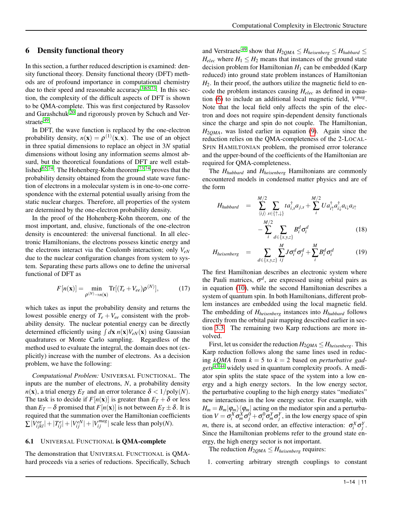## 6 Density functional theory

In this section, a further reduced description is examined: density functional theory. Density functional theory (DFT) methods are of profound importance in computational chemistry due to their speed and reasonable accuracy  $3,65,73$  $3,65,73$  $3,65,73$ . In this section, the complexity of the difficult aspects of DFT is shown to be QMA-complete. This was first conjectured by Rassolov and Garashchuk<sup>[20](#page-14-5)</sup> and rigorously proven by Schuch and Ver-straete <sup>[49](#page-14-31)</sup>.

In DFT, the wave function is replaced by the one-electron probability density,  $n(\mathbf{x}) = \rho^{(1)}(\mathbf{x}, \mathbf{x})$ . The use of an object in three spatial dimensions to replace an object in 3*N* spatial dimensions without losing any information seems almost absurd, but the theoretical foundations of DFT are well estab-lished<sup>[65](#page-14-46)[,74](#page-14-55)</sup>. The Hohenberg-Kohn theorem<sup>[73,](#page-14-54)[74](#page-14-55)</sup> proves that the probability density obtained from the ground state wave function of electrons in a molecular system is in one-to-one correspondence with the external potential usually arising from the static nuclear charges. Therefore, all properties of the system are determined by the one-electron probability density.

In the proof of the Hohenberg-Kohn theorem, one of the most important, and, elusive, functionals of the one-electron density is encountered: the universal functional. In all electronic Hamiltonians, the electrons possess kinetic energy and the electrons interact via the Coulomb interaction; only *VeN* due to the nuclear configuration changes from system to system. Separating these parts allows one to define the universal functional of DFT as

<span id="page-11-1"></span>
$$
F[n(\mathbf{x})] = \min_{\rho^{(N)} \to n(\mathbf{x})} \text{Tr}[(T_e + V_{ee})\rho^{(N)}],\tag{17}
$$

which takes as input the probability density and returns the lowest possible energy of  $T_e + V_{ee}$  consistent with the probability density. The nuclear potential energy can be directly determined efficiently using  $\int d\mathbf{x} n(\mathbf{x}) V_{eN}(\mathbf{x})$  using Gaussian quadratures or Monte Carlo sampling. Regardless of the method used to evaluate the integral, the domain does not (explicitly) increase with the number of electrons. As a decision problem, we have the following:

*Computational Problem:* UNIVERSAL FUNCTIONAL. The inputs are the number of electrons, *N*, a probability density  $n(\mathbf{x})$ , a trial energy  $E_T$  and an error tolerance  $\delta < 1/\text{poly}(N)$ . The task is to decide if  $F[n(x)]$  is greater than  $E_T + \delta$  or less than  $E_T - \delta$  promised that  $F[n(x)]$  is not between  $E_T \pm \delta$ . It is required that the summation over the Hamiltonian coefficients  $\sum |V_{ijkl}^{ee}| + |T_{ij}^{e}| + |V_{ij}^{eN}| + |V_{ij}^{mag}|$  scale less than poly(*N*).

#### <span id="page-11-0"></span>6.1 UNIVERSAL FUNCTIONAL is QMA-complete

The demonstration that UNIVERSAL FUNCTIONAL is QMAhard proceeds via a series of reductions. Specifically, Schuch and Verstraete<sup>[49](#page-14-31)</sup> show that  $H_{2QMA} \leq H_{heisenberg} \leq H_{hubbard} \leq$  $H_{elec}$  where  $H_1 \leq H_2$  means that instances of the ground state decision problem for Hamiltonian  $H_1$  can be embedded (Karp reduced) into ground state problem instances of Hamiltonian  $H<sub>2</sub>$ . In their proof, the authors utilize the magnetic field to encode the problem instances causing *Helec* as defined in equation [\(6\)](#page-6-4) to include an additional local magnetic field, *V mag* . Note that the local field only affects the spin of the electron and does not require spin-dependent density functionals since the charge and spin do not couple. The Hamiltonian, *H*2*QMA*, was listed earlier in equation [\(9\)](#page-7-0). Again since the reduction relies on the QMA-completeness of the 2-LOCAL-SPIN HAMILTONIAN problem, the promised error tolerance and the upper-bound of the coefficients of the Hamiltonian are required for QMA-completeness.

The *Hhubbard* and *Hheisenberg* Hamiltonians are commonly encountered models in condensed matter physics and are of the form

$$
H_{hubbard} = \sum_{\langle ij \rangle}^{M/2} \sum_{s \in \{\uparrow, \downarrow\}} t a_{i,s}^{\dagger} a_{j,s} + \sum_{i}^{M/2} U a_{i\uparrow}^{\dagger} a_{i\downarrow}^{\dagger} a_{i\downarrow} a_{i\uparrow}
$$

$$
- \sum_{i}^{M/2} \sum_{d \in \{x, y, z\}} B_{i}^{d} \sigma_{i}^{d} \qquad (18)
$$

$$
H_{heisenberg} = \sum_{d \in \{x, y, z\}} \sum_{i,j}^{M} J \sigma_i^d \sigma_j^d + \sum_{i}^{M} B_i^d \sigma_i^d \qquad (19)
$$

The first Hamiltonian describes an electronic system where the Pauli matrices,  $\sigma^d$ , are expressed using orbital pairs as in equation [\(10\)](#page-8-1), while the second Hamiltonian describes a system of quantum spin. In both Hamiltonians, different problem instances are embedded using the local magnetic field. The embedding of *Hheisenberg* instances into *Hhubbard* follows directly from the orbital pair mapping described earlier in section [3.3.](#page-7-1) The remaining two Karp reductions are more involved.

First, let us consider the reduction  $H_{2QMA} \leq H_{heisenberg}$ . This Karp reduction follows along the same lines used in reducing *kQMA* from *k* = 5 to *k* = 2 based on *perturbative gadgets* [43](#page-14-26)[,44](#page-14-27) widely used in quantum complexity proofs. A mediator spin splits the state space of the system into a low energy and a high energy sectors. In the low energy sector, the perturbative coupling to the high energy states "mediates" new interactions in the low energy sector. For example, with  $H_m = B_m |\varphi_m\rangle\langle\varphi_m|$  acting on the mediator spin and a perturbation  $V = \sigma_i^X \sigma_m^X \sigma_j^0 + \sigma_i^0 \sigma_m^Y \sigma_j^Y$ , in the low energy space of spin *m*, there is, at second order, an effective interaction:  $\sigma_i^X \sigma_j^Y$ . Since the Hamiltonian problems refer to the ground state energy, the high energy sector is not important.

The reduction  $H_{2QMA} \leq H_{heisenberg}$  requires:

1. converting arbitrary strength couplings to constant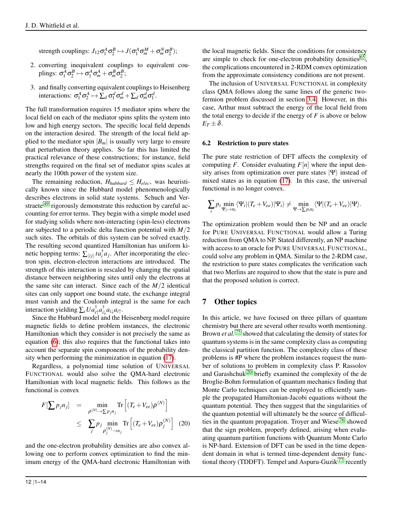strength couplings:  $J_{12}\sigma_1^A\sigma_2^B \mapsto J(\sigma_1^A\sigma_m^M + \sigma_m^N\sigma_2^B);$ 

- 2. converting inequivalent couplings to equivalent couplings:  $\sigma_1^A \sigma_2^B \mapsto \sigma_1^A \sigma_m^A + \sigma_m^B \sigma_2^B$ ;
- 3. and finally converting equivalent couplings to Heisenberg interactions:  $\sigma_1^A \sigma_2^A \mapsto \sum_d \sigma_1^d \sigma_m^d + \sum_d \sigma_m^d \sigma_1^d$ .

The full transformation requires 15 mediator spins where the local field on each of the mediator spins splits the system into low and high energy sectors. The specific local field depends on the interaction desired. The strength of the local field applied to the mediator spin  $|B_m|$  is usually very large to ensure that perturbation theory applies. So far this has limited the practical relevance of these constructions; for instance, field strengths required on the final set of mediator spins scales at nearly the 100th power of the system size.

The remaining reduction,  $H_{\text{hubbard}} \leq H_{\text{elec}}$ , was heuristically known since the Hubbard model phenomenologically describes electrons in solid state systems. Schuch and Ver-straete<sup>[49](#page-14-31)</sup> rigorously demonstrate this reduction by careful accounting for error terms. They begin with a simple model used for studying solids where non-interacting (spin-less) electrons are subjected to a periodic delta function potential with *M*/2 such sites. The orbitals of this system can be solved exactly. The resulting second quantized Hamiltonian has uniform kinetic hopping terms:  $\sum_{\langle ij \rangle} t a_i^{\dagger} a_j$ . After incorporating the electron spin, electron-electron interactions are introduced. The strength of this interaction is rescaled by changing the spatial distance between neighboring sites until only the electrons at the same site can interact. Since each of the  $M/2$  identical sites can only support one bound state, the exchange integral must vanish and the Coulomb integral is the same for each interaction yielding  $\sum_i U a_{i\uparrow}^\dagger a_{i\downarrow}^\dagger a_{i\downarrow} a_{i\uparrow}$ .

Since the Hubbard model and the Heisenberg model require magnetic fields to define problem instances, the electronic Hamiltonian which they consider is not precisely the same as equation [\(6\)](#page-6-4); this also requires that the functional takes into account the separate spin components of the probability density when performing the minimization in equation [\(17\)](#page-11-1).

Regardless, a polynomial time solution of UNIVERSAL FUNCTIONAL would also solve the QMA-hard electronic Hamiltonian with local magnetic fields. This follows as the functional is convex

$$
F[\sum p_j n_j] = \min_{\rho^{(N)} \to \sum p_j n_j} \text{Tr}\left[ (T_e + V_{ee}) \rho^{(N)} \right]
$$
  
 
$$
\leq \sum_j p_j \min_{\rho_j^{(N)} \to n_j} \text{Tr}\left[ (T_e + V_{ee}) \rho_j^{(N)} \right] (20)
$$

and the one-electron probability densities are also convex allowing one to perform convex optimization to find the minimum energy of the QMA-hard electronic Hamiltonian with

 $E_T \pm \delta$ . 6.2 Restriction to pure states

> The pure state restriction of DFT affects the complexity of computing *F*. Consider evaluating  $F[n]$  where the input density arises from optimization over pure states  $|\Psi\rangle$  instead of mixed states as in equation [\(17\)](#page-11-1). In this case, the universal functional is no longer convex.

> the local magnetic fields. Since the conditions for consistency are simple to check for one-electron probability densities<sup>[65](#page-14-46)</sup>, the complications encountered in 2-RDM convex optimization from the approximate consistency conditions are not present. The inclusion of UNIVERSAL FUNCTIONAL in complexity class QMA follows along the same lines of the generic twofermion problem discussed in section [3.4.](#page-8-5) However, in this case, Arthur must subtract the energy of the local field from the total energy to decide if the energy of  $F$  is above or below

$$
\sum_i p_i \min_{\Psi_i \to n_i} \langle \Psi_i | (T_e + V_{ee}) | \Psi_i \rangle \neq \min_{\Psi \to \sum p_i n_i} \langle \Psi | (T_e + V_{ee}) | \Psi \rangle.
$$

The optimization problem would then be NP and an oracle for PURE UNIVERSAL FUNCTIONAL would allow a Turing reduction from QMA to NP. Stated differently, an NP machine with access to an oracle for PURE UNIVERSAL FUNCTIONAL, could solve any problem in QMA. Similar to the 2-RDM case, the restriction to pure states complicates the verification such that two Merlins are required to show that the state is pure and that the proposed solution is correct.

# 7 Other topics

In this article, we have focused on three pillars of quantum chemistry but there are several other results worth mentioning. Brown *et al.* [75](#page-14-56) showed that calculating the density of states for quantum systems is in the same complexity class as computing the classical partition function. The complexity class of these problems is #P where the problem instances request the number of solutions to problem in complexity class P. Rassolov and Garashchuk [20](#page-14-5) briefly examined the complexity of the de Broglie-Bohm formulation of quantum mechanics finding that Monte Carlo techniques can be employed to efficiently sample the propagated Hamiltonian-Jacobi equations without the quantum potential. They then suggest that the singularities of the quantum potential will ultimately be the source of difficulties in the quantum propagation. Troyer and Wiese [76](#page-14-57) showed that the sign problem, properly defined, arising when evaluating quantum partition functions with Quantum Monte Carlo is NP-hard. Extension of DFT can be used in the time dependent domain in what is termed time-dependent density functional theory (TDDFT). Tempel and Aspuru-Guzik  $^{77}$  $^{77}$  $^{77}$  recently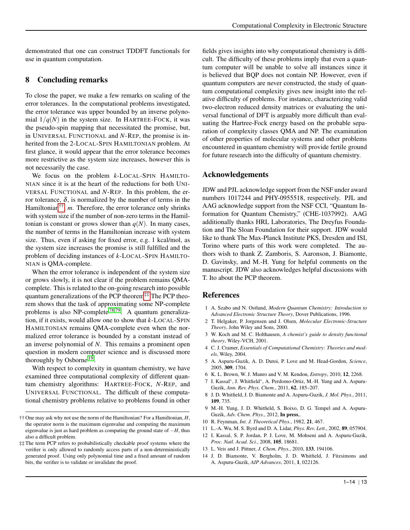demonstrated that one can construct TDDFT functionals for use in quantum computation.

# 8 Concluding remarks

To close the paper, we make a few remarks on scaling of the error tolerances. In the computational problems investigated, the error tolerance was upper bounded by an inverse polynomial  $1/q(N)$  in the system size. In HARTREE-FOCK, it was the pseudo-spin mapping that necessitated the promise, but, in UNIVERSAL FUNCTIONAL and *N*-REP, the promise is inherited from the 2-LOCAL-SPIN HAMILTONIAN problem. At first glance, it would appear that the error tolerance becomes more restrictive as the system size increases, however this is not necessarily the case.

We focus on the problem *k*-LOCAL-SPIN HAMILTO-NIAN since it is at the heart of the reductions for both UNI-VERSAL FUNCTIONAL and *N*-REP. In this problem, the error tolerance, δ, is normalized by the number of terms in the Hamiltonian[††](#page-13-11) , *m*. Therefore, the error tolerance only shrinks with system size if the number of non-zero terms in the Hamiltonian is constant or grows slower than  $q(N)$ . In many cases, the number of terms in the Hamiltonian increase with system size. Thus, even if asking for fixed error, e.g. 1 kcal/mol, as the system size increases the promise is still fulfilled and the problem of deciding instances of *k*-LOCAL-SPIN HAMILTO-NIAN is QMA-complete.

When the error tolerance is independent of the system size or grows slowly, it is not clear if the problem remains QMAcomplete. This is related to the on-going research into possible quantum generalizations of the PCP theorem<sup>[‡‡](#page-13-12)</sup> The PCP theorem shows that the task of approximating some NP-complete problems is also NP-complete<sup>[78](#page-14-59)[,79](#page-14-60)</sup>. A quantum generalization, if it exists, would allow one to show that *k*-LOCAL-SPIN HAMILTONIAN remains QMA-complete even when the normalized error tolerance is bounded by a constant instead of an inverse polynomial of *N*. This remains a prominent open question in modern computer science and is discussed more thoroughly by Osborne<sup>[19](#page-14-4)</sup>.

With respect to complexity in quantum chemistry, we have examined three computational complexity of different quantum chemistry algorithms: HARTREE-FOCK, *N*-REP, and UNIVERSAL FUNCTIONAL. The difficult of these computational chemistry problems relative to problems found in other fields gives insights into why computational chemistry is difficult. The difficulty of these problems imply that even a quantum computer will be unable to solve all instances since it is believed that BQP does not contain NP. However, even if quantum computers are never constructed, the study of quantum computational complexity gives new insight into the relative difficulty of problems. For instance, characterizing valid two-electron reduced density matrices or evaluating the universal functional of DFT is arguably more difficult than evaluating the Hartree-Fock energy based on the probable separation of complexity classes QMA and NP. The examination of other properties of molecular systems and other problems encountered in quantum chemistry will provide fertile ground for future research into the difficulty of quantum chemistry.

# Acknowledgements

JDW and PJL acknowledge support from the NSF under award numbers 1017244 and PHY-0955518, respectively. PJL and AAG acknowledge support from the NSF CCI, "Quantum Information for Quantum Chemistry," (CHE-1037992). AAG additionally thanks HRL Laboratories, The Dreyfus Foundation and The Sloan Foundation for their support. JDW would like to thank The Max-Planck Institute PKS, Dresden and ISI, Torino where parts of this work were completed. The authors wish to thank Z. Zamboris, S. Aaronson, J. Biamonte, D. Gavinsky, and M.-H. Yung for helpful comments on the manuscript. JDW also acknowledges helpful discussions with T. Ito about the PCP theorem.

# References

- <span id="page-13-0"></span>1 A. Szabo and N. Ostlund, *Modern Quantum Chemistry: Introduction to Advanced Electronic Structure Theory*, Dover Publications, 1996.
- 2 T. Helgaker, P. Jorgensen and J. Olsen, *Molecular Electronic-Structure Theory*, John Wiley and Sons, 2000.
- <span id="page-13-10"></span>3 W. Koch and M. C. Holthausen, *A chemist's guide to density functional theory*, Wiley-VCH, 2001.
- <span id="page-13-1"></span>4 C. J. Cramer, *Essentials of Computational Chemistry: Theories and models*, Wiley, 2004.
- <span id="page-13-2"></span>5 A. Aspuru-Guzik, A. D. Dutoi, P. Love and M. Head-Gordon, *Science*, 2005, 309, 1704.
- <span id="page-13-8"></span>6 K. L. Brown, W. J. Munro and V. M. Kendon, *Entropy*, 2010, 12, 2268.
- <span id="page-13-9"></span>7 I. Kassal<sup>∗</sup> , J. Whitfield<sup>∗</sup> , A. Perdomo-Ortiz, M.-H. Yung and A. Aspuru-Guzik, *Ann. Rev. Phys. Chem.*, 2011, 62, 185–207.
- <span id="page-13-5"></span>8 J. D. Whitfield, J. D. Biamonte and A. Aspuru-Guzik, *J. Mol. Phys.*, 2011, 109, 735.
- <span id="page-13-3"></span>9 M.-H. Yung, J. D. Whitfield, S. Boixo, D. G. Tempel and A. Aspuru-Guzik, *Adv. Chem. Phys.*, 2012, In press,.
- <span id="page-13-4"></span>10 R. Feynman, *Int. J. Theoretical Phys.*, 1982, 21, 467.
- <span id="page-13-6"></span>11 L.-A. Wu, M. S. Byrd and D. A. Lidar, *Phys. Rev. Lett.*, 2002, 89, 057904.
- 12 I. Kassal, S. P. Jordan, P. J. Love, M. Mohseni and A. Aspuru-Guzik, *Proc. Natl. Acad. Sci.*, 2008, 105, 18681.
- 13 L. Veis and J. Pittner, *J. Chem. Phys.*, 2010, 133, 194106.
- <span id="page-13-7"></span>14 J. D. Biamonte, V. Bergholm, J. D. Whitfield, J. Fitzsimons and A. Aspuru-Guzik, *AIP Advances*, 2011, 1, 022126.

<span id="page-13-11"></span><sup>††</sup> One may ask why not use the norm of the Hamiltonian? For a Hamiltonian, *H*, the operator norm is the maximum eigenvalue and computing the maximum eigenvalue is just as hard problem as computing the ground state of −*H*, thus also a difficult problem.

<span id="page-13-12"></span><sup>‡‡</sup> The term PCP refers to probabilistically checkable proof systems where the verifier is only allowed to randomly access parts of a non-deterministically generated proof. Using only polynomial time and a fixed amount of random bits, the verifier is to validate or invalidate the proof.